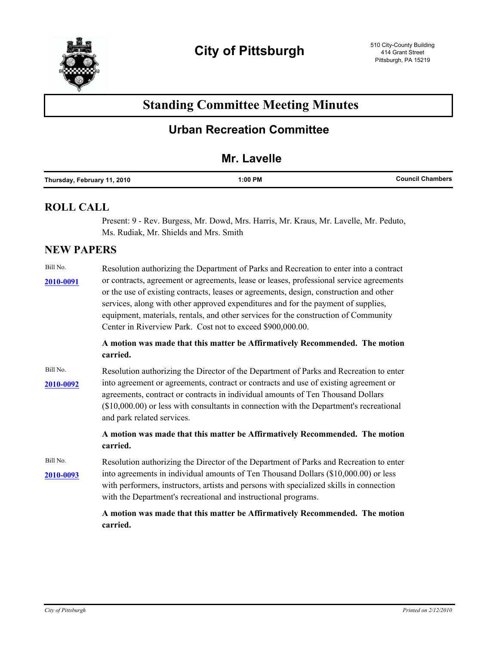

# **Standing Committee Meeting Minutes**

## **Urban Recreation Committee**

## **Mr. Lavelle**

| Chambers | 1:00 PM | Thursday<br>2010<br><b>February</b><br>.<br>$\sim$ $\sim$ |
|----------|---------|-----------------------------------------------------------|
|----------|---------|-----------------------------------------------------------|

## **ROLL CALL**

Present: 9 - Rev. Burgess, Mr. Dowd, Mrs. Harris, Mr. Kraus, Mr. Lavelle, Mr. Peduto, Ms. Rudiak, Mr. Shields and Mrs. Smith

## **NEW PAPERS**

| Bill No.  | Resolution authorizing the Department of Parks and Recreation to enter into a contract                                                                                                                                                                                                                                                                                                                                      |
|-----------|-----------------------------------------------------------------------------------------------------------------------------------------------------------------------------------------------------------------------------------------------------------------------------------------------------------------------------------------------------------------------------------------------------------------------------|
| 2010-0091 | or contracts, agreement or agreements, lease or leases, professional service agreements<br>or the use of existing contracts, leases or agreements, design, construction and other<br>services, along with other approved expenditures and for the payment of supplies,<br>equipment, materials, rentals, and other services for the construction of Community<br>Center in Riverview Park. Cost not to exceed \$900,000.00. |
|           | A motion was made that this matter be Affirmatively Recommended. The motion<br>carried.                                                                                                                                                                                                                                                                                                                                     |
| Bill No.  | Resolution authorizing the Director of the Department of Parks and Recreation to enter                                                                                                                                                                                                                                                                                                                                      |
| 2010-0092 | into agreement or agreements, contract or contracts and use of existing agreement or<br>agreements, contract or contracts in individual amounts of Ten Thousand Dollars<br>(\$10,000.00) or less with consultants in connection with the Department's recreational<br>and park related services.                                                                                                                            |
|           | A motion was made that this matter be Affirmatively Recommended. The motion<br>carried.                                                                                                                                                                                                                                                                                                                                     |
| Bill No.  | Resolution authorizing the Director of the Department of Parks and Recreation to enter                                                                                                                                                                                                                                                                                                                                      |
| 2010-0093 | into agreements in individual amounts of Ten Thousand Dollars (\$10,000.00) or less<br>with performers, instructors, artists and persons with specialized skills in connection<br>with the Department's recreational and instructional programs.                                                                                                                                                                            |
|           | A motion was made that this matter be Affirmatively Recommended. The motion<br>carried.                                                                                                                                                                                                                                                                                                                                     |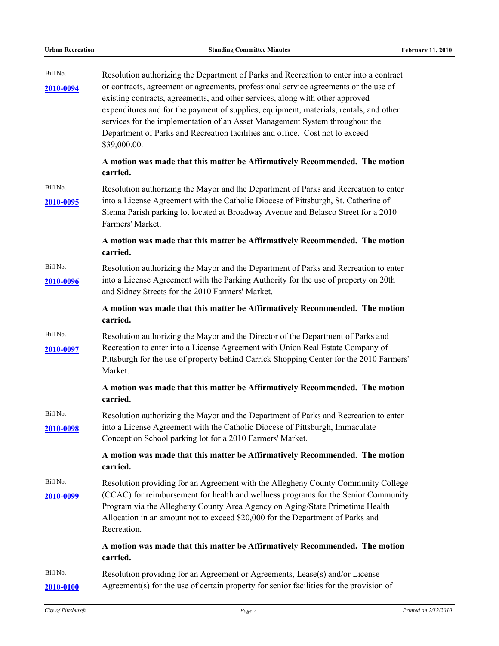| Bill No.<br><u>2010-0094</u> | Resolution authorizing the Department of Parks and Recreation to enter into a contract<br>or contracts, agreement or agreements, professional service agreements or the use of<br>existing contracts, agreements, and other services, along with other approved<br>expenditures and for the payment of supplies, equipment, materials, rentals, and other<br>services for the implementation of an Asset Management System throughout the<br>Department of Parks and Recreation facilities and office. Cost not to exceed<br>\$39,000.00. |
|------------------------------|-------------------------------------------------------------------------------------------------------------------------------------------------------------------------------------------------------------------------------------------------------------------------------------------------------------------------------------------------------------------------------------------------------------------------------------------------------------------------------------------------------------------------------------------|
|                              | A motion was made that this matter be Affirmatively Recommended. The motion<br>carried.                                                                                                                                                                                                                                                                                                                                                                                                                                                   |
| Bill No.<br>2010-0095        | Resolution authorizing the Mayor and the Department of Parks and Recreation to enter<br>into a License Agreement with the Catholic Diocese of Pittsburgh, St. Catherine of<br>Sienna Parish parking lot located at Broadway Avenue and Belasco Street for a 2010<br>Farmers' Market.                                                                                                                                                                                                                                                      |
|                              | A motion was made that this matter be Affirmatively Recommended. The motion<br>carried.                                                                                                                                                                                                                                                                                                                                                                                                                                                   |
| Bill No.<br><u>2010-0096</u> | Resolution authorizing the Mayor and the Department of Parks and Recreation to enter<br>into a License Agreement with the Parking Authority for the use of property on 20th<br>and Sidney Streets for the 2010 Farmers' Market.                                                                                                                                                                                                                                                                                                           |
|                              | A motion was made that this matter be Affirmatively Recommended. The motion<br>carried.                                                                                                                                                                                                                                                                                                                                                                                                                                                   |
| Bill No.<br>2010-0097        | Resolution authorizing the Mayor and the Director of the Department of Parks and<br>Recreation to enter into a License Agreement with Union Real Estate Company of<br>Pittsburgh for the use of property behind Carrick Shopping Center for the 2010 Farmers'<br>Market.                                                                                                                                                                                                                                                                  |
|                              | A motion was made that this matter be Affirmatively Recommended. The motion<br>carried.                                                                                                                                                                                                                                                                                                                                                                                                                                                   |
| Bill No.<br><u>2010-0098</u> | Resolution authorizing the Mayor and the Department of Parks and Recreation to enter<br>into a License Agreement with the Catholic Diocese of Pittsburgh, Immaculate<br>Conception School parking lot for a 2010 Farmers' Market.                                                                                                                                                                                                                                                                                                         |
|                              | A motion was made that this matter be Affirmatively Recommended. The motion<br>carried.                                                                                                                                                                                                                                                                                                                                                                                                                                                   |
| Bill No.<br>2010-0099        | Resolution providing for an Agreement with the Allegheny County Community College<br>(CCAC) for reimbursement for health and wellness programs for the Senior Community<br>Program via the Allegheny County Area Agency on Aging/State Primetime Health<br>Allocation in an amount not to exceed \$20,000 for the Department of Parks and<br>Recreation.                                                                                                                                                                                  |
|                              | A motion was made that this matter be Affirmatively Recommended. The motion<br>carried.                                                                                                                                                                                                                                                                                                                                                                                                                                                   |
| Bill No.<br>2010-0100        | Resolution providing for an Agreement or Agreements, Lease(s) and/or License<br>Agreement(s) for the use of certain property for senior facilities for the provision of                                                                                                                                                                                                                                                                                                                                                                   |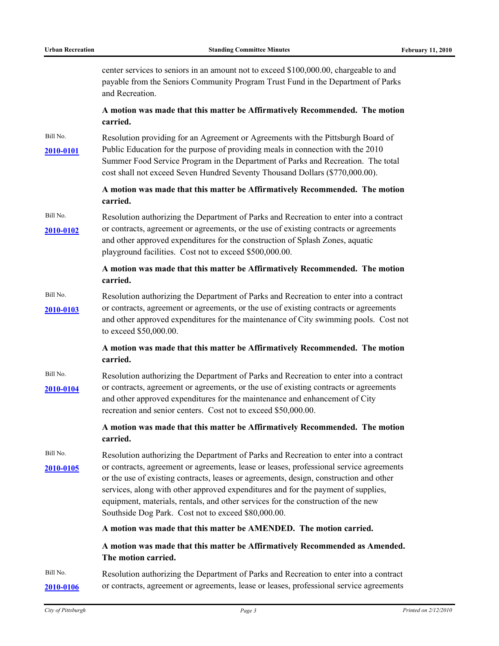center services to seniors in an amount not to exceed \$100,000.00, chargeable to and payable from the Seniors Community Program Trust Fund in the Department of Parks and Recreation.

#### **A motion was made that this matter be Affirmatively Recommended. The motion carried.**

Bill No. Resolution providing for an Agreement or Agreements with the Pittsburgh Board of [2010-0101](http://pittsburgh.legistar.com/gateway.aspx/matter.aspx?key=12604) Public Education for the purpose of providing meals in connection with the 2010 Summer Food Service Program in the Department of Parks and Recreation. The total cost shall not exceed Seven Hundred Seventy Thousand Dollars (\$770,000.00).

#### **A motion was made that this matter be Affirmatively Recommended. The motion carried.**

Bill No. Resolution authorizing the Department of Parks and Recreation to enter into a contract [2010-0102](http://pittsburgh.legistar.com/gateway.aspx/matter.aspx?key=12605) or contracts, agreement or agreements, or the use of existing contracts or agreements and other approved expenditures for the construction of Splash Zones, aquatic playground facilities. Cost not to exceed \$500,000.00.

#### **A motion was made that this matter be Affirmatively Recommended. The motion carried.**

Bill No. Resolution authorizing the Department of Parks and Recreation to enter into a contract [2010-0103](http://pittsburgh.legistar.com/gateway.aspx/matter.aspx?key=12606) or contracts, agreement or agreements, or the use of existing contracts or agreements and other approved expenditures for the maintenance of City swimming pools. Cost not to exceed \$50,000.00.

#### **A motion was made that this matter be Affirmatively Recommended. The motion carried.**

Bill No. Resolution authorizing the Department of Parks and Recreation to enter into a contract [2010-0104](http://pittsburgh.legistar.com/gateway.aspx/matter.aspx?key=12607) or contracts, agreement or agreements, or the use of existing contracts or agreements and other approved expenditures for the maintenance and enhancement of City recreation and senior centers. Cost not to exceed \$50,000.00.

#### **A motion was made that this matter be Affirmatively Recommended. The motion carried.**

Bill No. Resolution authorizing the Department of Parks and Recreation to enter into a contract [2010-0105](http://pittsburgh.legistar.com/gateway.aspx/matter.aspx?key=12608) or contracts, agreement or agreements, lease or leases, professional service agreements or the use of existing contracts, leases or agreements, design, construction and other services, along with other approved expenditures and for the payment of supplies, equipment, materials, rentals, and other services for the construction of the new Southside Dog Park. Cost not to exceed \$80,000.00.

**A motion was made that this matter be AMENDED. The motion carried.**

#### **A motion was made that this matter be Affirmatively Recommended as Amended. The motion carried.**

### Bill No. Resolution authorizing the Department of Parks and Recreation to enter into a contract **[2010-0106](http://pittsburgh.legistar.com/gateway.aspx/matter.aspx?key=12611)** or contracts, agreement or agreements, lease or leases, professional service agreements